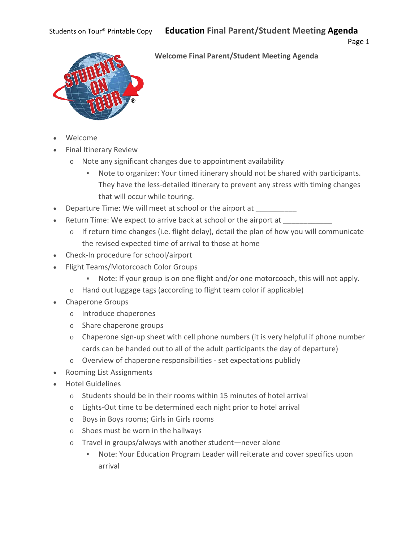

### **Welcome Final Parent/Student Meeting Agenda**

- Welcome
- Final Itinerary Review
	- o Note any significant changes due to appointment availability
		- Note to organizer: Your timed itinerary should not be shared with participants. They have the less-detailed itinerary to prevent any stress with timing changes that will occur while touring.
- Departure Time: We will meet at school or the airport at \_\_\_\_\_\_\_\_\_
- Return Time: We expect to arrive back at school or the airport at \_\_\_\_\_\_\_\_\_\_\_\_\_\_
	- o If return time changes (i.e. flight delay), detail the plan of how you will communicate the revised expected time of arrival to those at home
- Check-In procedure for school/airport
- Flight Teams/Motorcoach Color Groups
	- Note: If your group is on one flight and/or one motorcoach, this will not apply.
	- o Hand out luggage tags (according to flight team color if applicable)
- Chaperone Groups
	- o Introduce chaperones
	- o Share chaperone groups
	- o Chaperone sign-up sheet with cell phone numbers (it is very helpful if phone number cards can be handed out to all of the adult participants the day of departure)
	- o Overview of chaperone responsibilities set expectations publicly
- Rooming List Assignments
- Hotel Guidelines
	- o Students should be in their rooms within 15 minutes of hotel arrival
	- o Lights-Out time to be determined each night prior to hotel arrival
	- o Boys in Boys rooms; Girls in Girls rooms
	- o Shoes must be worn in the hallways
	- o Travel in groups/always with another student—never alone
		- Note: Your Education Program Leader will reiterate and cover specifics upon arrival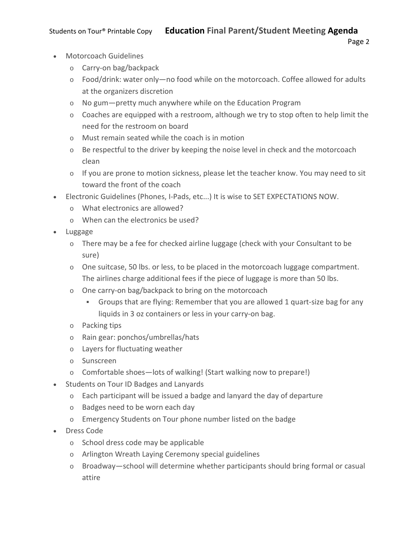- Motorcoach Guidelines
	- o Carry-on bag/backpack
	- o Food/drink: water only—no food while on the motorcoach. Coffee allowed for adults at the organizers discretion
	- o No gum—pretty much anywhere while on the Education Program
	- $\circ$  Coaches are equipped with a restroom, although we try to stop often to help limit the need for the restroom on board
	- o Must remain seated while the coach is in motion
	- o Be respectful to the driver by keeping the noise level in check and the motorcoach clean
	- $\circ$  If you are prone to motion sickness, please let the teacher know. You may need to sit toward the front of the coach
- Electronic Guidelines (Phones, I-Pads, etc...) It is wise to SET EXPECTATIONS NOW.
	- o What electronics are allowed?
	- o When can the electronics be used?
- Luggage
	- o There may be a fee for checked airline luggage (check with your Consultant to be sure)
	- o One suitcase, 50 lbs. or less, to be placed in the motorcoach luggage compartment. The airlines charge additional fees if the piece of luggage is more than 50 lbs.
	- o One carry-on bag/backpack to bring on the motorcoach
		- Groups that are flying: Remember that you are allowed 1 quart-size bag for any liquids in 3 oz containers or less in your carry-on bag.
	- o Packing tips
	- o Rain gear: ponchos/umbrellas/hats
	- o Layers for fluctuating weather
	- o Sunscreen
	- o Comfortable shoes—lots of walking! (Start walking now to prepare!)
- Students on Tour ID Badges and Lanyards
	- o Each participant will be issued a badge and lanyard the day of departure
	- o Badges need to be worn each day
	- o Emergency Students on Tour phone number listed on the badge
- Dress Code
	- o School dress code may be applicable
	- o Arlington Wreath Laying Ceremony special guidelines
	- o Broadway—school will determine whether participants should bring formal or casual attire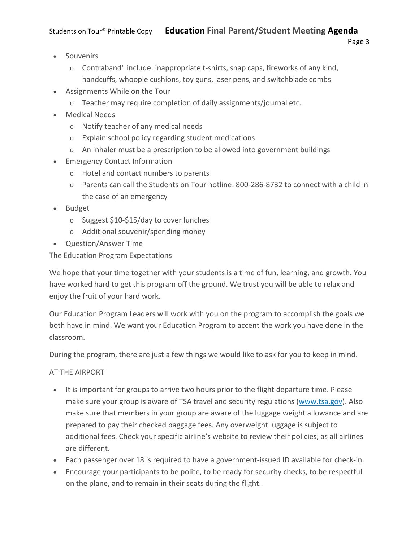- Souvenirs
	- o Contraband" include: inappropriate t-shirts, snap caps, fireworks of any kind, handcuffs, whoopie cushions, toy guns, laser pens, and switchblade combs
- Assignments While on the Tour
	- o Teacher may require completion of daily assignments/journal etc.
- Medical Needs
	- o Notify teacher of any medical needs
	- o Explain school policy regarding student medications
	- $\circ$  An inhaler must be a prescription to be allowed into government buildings
- Emergency Contact Information
	- o Hotel and contact numbers to parents
	- o Parents can call the Students on Tour hotline: 800-286-8732 to connect with a child in the case of an emergency
- Budget
	- o Suggest \$10-\$15/day to cover lunches
	- o Additional souvenir/spending money
- Question/Answer Time

The Education Program Expectations

We hope that your time together with your students is a time of fun, learning, and growth. You have worked hard to get this program off the ground. We trust you will be able to relax and enjoy the fruit of your hard work.

Our Education Program Leaders will work with you on the program to accomplish the goals we both have in mind. We want your Education Program to accent the work you have done in the classroom.

During the program, there are just a few things we would like to ask for you to keep in mind.

### AT THE AIRPORT

- It is important for groups to arrive two hours prior to the flight departure time. Please make sure your group is aware of TSA travel and security regulations [\(www.tsa.gov\)](http://www.tsa.gov/). Also make sure that members in your group are aware of the luggage weight allowance and are prepared to pay their checked baggage fees. Any overweight luggage is subject to additional fees. Check your specific airline's website to review their policies, as all airlines are different.
- Each passenger over 18 is required to have a government-issued ID available for check-in.
- Encourage your participants to be polite, to be ready for security checks, to be respectful on the plane, and to remain in their seats during the flight.